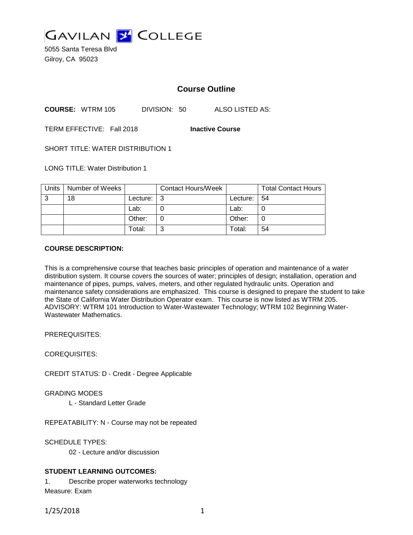

5055 Santa Teresa Blvd Gilroy, CA 95023

# **Course Outline**

**COURSE:** WTRM 105 DIVISION: 50 ALSO LISTED AS:

TERM EFFECTIVE: Fall 2018 **Inactive Course**

SHORT TITLE: WATER DISTRIBUTION 1

LONG TITLE: Water Distribution 1

| Units | Number of Weeks |          | <b>Contact Hours/Week</b> |                 | <b>Total Contact Hours</b> |
|-------|-----------------|----------|---------------------------|-----------------|----------------------------|
| 3     | 18              | Lecture: | ູ                         | Lecture: $  54$ |                            |
|       |                 | Lab:     |                           | Lab:            |                            |
|       |                 | Other:   |                           | Other:          |                            |
|       |                 | Total:   | ⌒                         | Total:          | 54                         |

#### **COURSE DESCRIPTION:**

This is a comprehensive course that teaches basic principles of operation and maintenance of a water distribution system. It course covers the sources of water; principles of design; installation, operation and maintenance of pipes, pumps, valves, meters, and other regulated hydraulic units. Operation and maintenance safety considerations are emphasized. This course is designed to prepare the student to take the State of California Water Distribution Operator exam. This course is now listed as WTRM 205. ADVISORY: WTRM 101 Introduction to Water-Wastewater Technology; WTRM 102 Beginning Water-Wastewater Mathematics.

PREREQUISITES:

COREQUISITES:

CREDIT STATUS: D - Credit - Degree Applicable

GRADING MODES

L - Standard Letter Grade

REPEATABILITY: N - Course may not be repeated

SCHEDULE TYPES:

02 - Lecture and/or discussion

### **STUDENT LEARNING OUTCOMES:**

1. Describe proper waterworks technology Measure: Exam

1/25/2018 1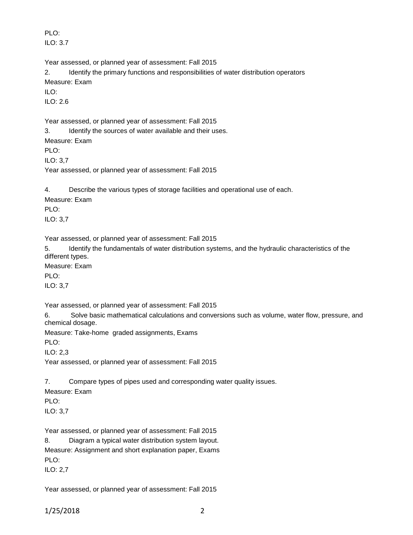PLO: ILO: 3.7

Year assessed, or planned year of assessment: Fall 2015

2. Identify the primary functions and responsibilities of water distribution operators Measure: Exam

 $II \Omega$ :

ILO: 2.6

Year assessed, or planned year of assessment: Fall 2015

3. Identify the sources of water available and their uses.

Measure: Exam

PLO:

ILO: 3,7

Year assessed, or planned year of assessment: Fall 2015

4. Describe the various types of storage facilities and operational use of each.

Measure: Exam

PLO:

ILO: 3,7

Year assessed, or planned year of assessment: Fall 2015

5. Identify the fundamentals of water distribution systems, and the hydraulic characteristics of the different types.

Measure: Exam

PLO:

ILO: 3,7

Year assessed, or planned year of assessment: Fall 2015

6. Solve basic mathematical calculations and conversions such as volume, water flow, pressure, and chemical dosage.

Measure: Take-home graded assignments, Exams

PLO:

ILO: 2,3

Year assessed, or planned year of assessment: Fall 2015

7. Compare types of pipes used and corresponding water quality issues.

Measure: Exam

PLO:

ILO: 3,7

Year assessed, or planned year of assessment: Fall 2015

8. Diagram a typical water distribution system layout. Measure: Assignment and short explanation paper, Exams PLO: ILO: 2,7

Year assessed, or planned year of assessment: Fall 2015

1/25/2018 2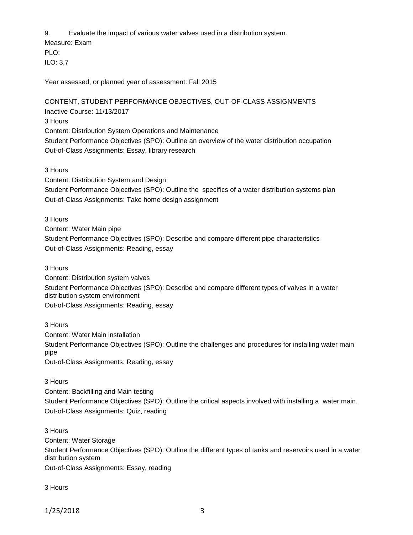9. Evaluate the impact of various water valves used in a distribution system.

Measure: Exam PLO: ILO: 3,7

Year assessed, or planned year of assessment: Fall 2015

CONTENT, STUDENT PERFORMANCE OBJECTIVES, OUT-OF-CLASS ASSIGNMENTS Inactive Course: 11/13/2017 3 Hours Content: Distribution System Operations and Maintenance Student Performance Objectives (SPO): Outline an overview of the water distribution occupation Out-of-Class Assignments: Essay, library research

3 Hours

Content: Distribution System and Design

Student Performance Objectives (SPO): Outline the specifics of a water distribution systems plan Out-of-Class Assignments: Take home design assignment

3 Hours

Content: Water Main pipe Student Performance Objectives (SPO): Describe and compare different pipe characteristics Out-of-Class Assignments: Reading, essay

3 Hours

Content: Distribution system valves Student Performance Objectives (SPO): Describe and compare different types of valves in a water distribution system environment Out-of-Class Assignments: Reading, essay

3 Hours Content: Water Main installation Student Performance Objectives (SPO): Outline the challenges and procedures for installing water main pipe Out-of-Class Assignments: Reading, essay

3 Hours

Content: Backfilling and Main testing

Student Performance Objectives (SPO): Outline the critical aspects involved with installing a water main. Out-of-Class Assignments: Quiz, reading

3 Hours

Content: Water Storage Student Performance Objectives (SPO): Outline the different types of tanks and reservoirs used in a water distribution system Out-of-Class Assignments: Essay, reading

3 Hours

1/25/2018 3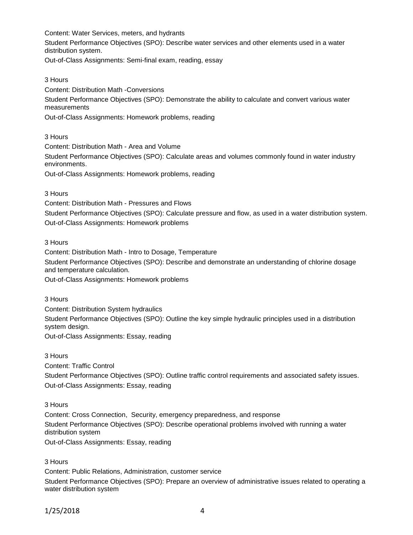Content: Water Services, meters, and hydrants Student Performance Objectives (SPO): Describe water services and other elements used in a water distribution system. Out-of-Class Assignments: Semi-final exam, reading, essay

3 Hours Content: Distribution Math -Conversions Student Performance Objectives (SPO): Demonstrate the ability to calculate and convert various water measurements Out-of-Class Assignments: Homework problems, reading

3 Hours

Content: Distribution Math - Area and Volume Student Performance Objectives (SPO): Calculate areas and volumes commonly found in water industry environments. Out-of-Class Assignments: Homework problems, reading

3 Hours

Content: Distribution Math - Pressures and Flows Student Performance Objectives (SPO): Calculate pressure and flow, as used in a water distribution system. Out-of-Class Assignments: Homework problems

3 Hours

Content: Distribution Math - Intro to Dosage, Temperature Student Performance Objectives (SPO): Describe and demonstrate an understanding of chlorine dosage and temperature calculation.

Out-of-Class Assignments: Homework problems

3 Hours

Content: Distribution System hydraulics Student Performance Objectives (SPO): Outline the key simple hydraulic principles used in a distribution system design. Out-of-Class Assignments: Essay, reading

3 Hours

Content: Traffic Control

Student Performance Objectives (SPO): Outline traffic control requirements and associated safety issues. Out-of-Class Assignments: Essay, reading

3 Hours

Content: Cross Connection, Security, emergency preparedness, and response Student Performance Objectives (SPO): Describe operational problems involved with running a water distribution system

Out-of-Class Assignments: Essay, reading

3 Hours

Content: Public Relations, Administration, customer service

Student Performance Objectives (SPO): Prepare an overview of administrative issues related to operating a water distribution system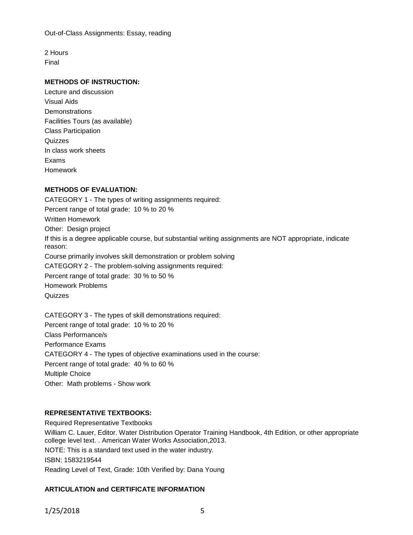Out-of-Class Assignments: Essay, reading

2 Hours Final

### **METHODS OF INSTRUCTION:**

Lecture and discussion Visual Aids **Demonstrations** Facilities Tours (as available) Class Participation **Quizzes** In class work sheets Exams Homework

### **METHODS OF EVALUATION:**

CATEGORY 1 - The types of writing assignments required: Percent range of total grade: 10 % to 20 % Written Homework Other: Design project If this is a degree applicable course, but substantial writing assignments are NOT appropriate, indicate reason: Course primarily involves skill demonstration or problem solving CATEGORY 2 - The problem-solving assignments required: Percent range of total grade: 30 % to 50 % Homework Problems **Quizzes** 

CATEGORY 3 - The types of skill demonstrations required: Percent range of total grade: 10 % to 20 % Class Performance/s Performance Exams CATEGORY 4 - The types of objective examinations used in the course: Percent range of total grade: 40 % to 60 % Multiple Choice Other: Math problems - Show work

## **REPRESENTATIVE TEXTBOOKS:**

Required Representative Textbooks William C. Lauer, Editor. Water Distribution Operator Training Handbook, 4th Edition, or other appropriate college level text. . American Water Works Association,2013. NOTE: This is a standard text used in the water industry. ISBN: 1583219544 Reading Level of Text, Grade: 10th Verified by: Dana Young

## **ARTICULATION and CERTIFICATE INFORMATION**